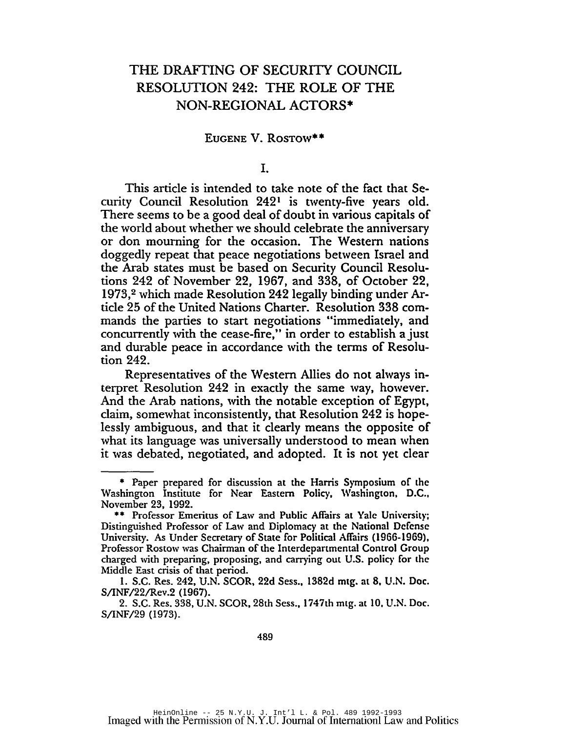## THE DRAFTING OF SECURITY COUNCIL RESOLUTION 242: THE ROLE OF THE NON-REGIONAL ACTORS·

## EUGENE V. RosTow\*\*

I.

This article is intended to take note of the fact that Security Council Resolution 2421 is twenty-five years old. There seems to be a good deal of doubt in various capitals of the world about whether we should celebrate the anniversary or don mourning for the occasion. The Western nations doggedly repeat that peace negotiations between Israel and the Arab states must be based on Security Council Resolutions 242 of November 22, 1967, and 338, of October 22, 1973,2 which made Resolution 242 legally binding under Article 25 of the United Nations Charter. Resolution 338 commands the parties to start negotiations "immediately, and concurrendy with the cease-fire," in order to establish a just and durable peace in accordance with the terms of Resolution 242.

Representatives of the Western Allies do not always interpret Resolution 242 in exacdy the same way, however. And the Arab nations, with the notable exception of Egypt, claim, somewhat inconsistendy, that Resolution 242 is hopelessly ambiguous, and that it dearly means the opposite of what its language was universally understood to mean when it was debated, negotiated, and adopted. It is not yet clear

<sup>\*</sup> Paper prepared for discussion at the Harris Symposium of the Washington Institute for Near Eastern Policy, Washington, D.C., November 23, 1992.

<sup>\*\*</sup> Professor Emeritus of Law and Public Affairs at Yale University; Distinguished Professor of Law and Diplomacy at the National Defense University. As Under Secretary of State for Political Affairs (1966-1969), Professor Rostow was Chairman of the Interdepartmental Control Group charged with preparing, proposing, and carrying out U.S. policy for the Middle East crisis of that period.

<sup>1.</sup> S.C. Res. 242, U.N. SCOR, 22d Sess., 1382d mtg. at 8, U.N. Doc. S/INF/22/Rev.2 (1967).

<sup>2.</sup> S.C. Res. 338, U.N. SCOR, 28th Sess., 1747th mtg. at 10. U.N. Doc. S/INF/29 (1973).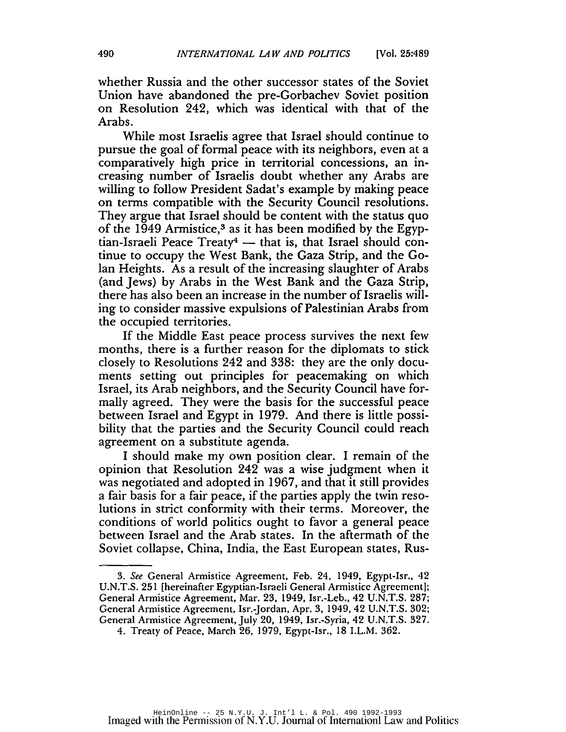whether Russia and the other successor states of the Soviet Union have abandoned the pre-Gorbachev Soviet position on Resolution 242, which was identical with that of the Arabs.

While most Israelis agree that Israel should continue to pursue the goal of formal peace with its neighbors, even at a comparatively high price in territorial concessions, an increasing number of Israelis doubt whether any Arabs are willing to follow President Sadat's example by making peace on terms compatible with the Security Council resolutions. They argue that Israel should be content with the status quo of the 1949 Armistice, $3$  as it has been modified by the Egyptian-Israeli Peace Treaty<sup>4</sup> — that is, that Israel should continue to occupy the West Bank, the Gaza Strip, and the Golan Heights. As a result of the increasing slaughter of Arabs (and Jews) by Arabs in the West Bank and the Gaza Strip, there has also been an increase in the number of Israelis willing to consider massive expulsions of Palestinian Arabs from the occupied territories.

If the Middle East peace process survives the next few months, there is a further reason for the diplomats to stick closely to Resolutions 242 and 338: they are the only documents setting out principles for peacemaking on which Israel, its Arab neighbors, and the Security Council have formally agreed. They were the basis for the successful peace between Israel and Egypt in 1979. And there is little possibility that the parties and the Security Council could reach agreement on a substitute agenda.

I should make my own position clear. I remain of the opinion that Resolution 242 was a wise judgment when it was negotiated and adopted in 1967, and that it still provides a fair basis for a fair peace, if the parties apply the twin resolutions in strict conformity with their terms. Moreover, the conditions of world politics ought to favor a general peace between Israel and the Arab states. In the aftermath of the Soviet collapse, China, India, the East European states, Rus-

*<sup>3.</sup> See* General Armistice Agreement, Feb. 24, 1949, Egypt-Isr., 42 *V.N.T.S.* 251 [hereinafter Egyptian-Israeli General Armistice Agreement); General Armistice Agreement, Mar. 23, 1949, Isr.-Leb., 42 *V.N.T.S. 287;* General Armistice Agreement, Isr.-Jordan, Apr. 3, 1949,42 *V.N.T.S. 302;* General Armistice Agreement, July 20, 1949, Isr.-Syria, 42 *V.N.T.S. 327.*

<sup>4.</sup> Treaty of Peace, March 26, 1979, Egypt-Isr., 18 I.L.M. 362.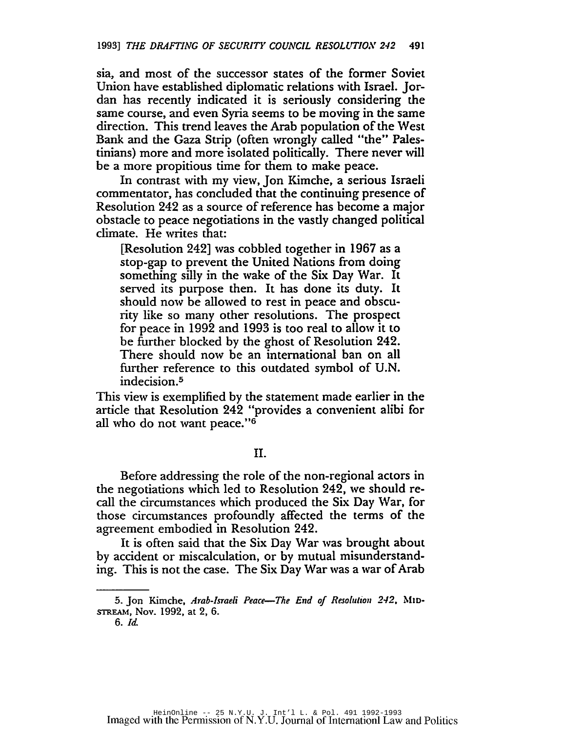sia, and most of the successor states of the former Soviet Union have established diplomatic relations with Israel. Jordan has recently indicated it is seriously considering the same course, and even Syria seems to be moving in the same direction. This trend leaves the Arab population of the West Bank and the Gaza Strip (often wrongly called "the" Palestinians) more and more isolated politically. There never will be a more propitious time for them to make peace.

In contrast with my view, Jon Kimche, a serious Israeli commentator, has concluded that the continuing presence of Resolution 242 as a source of reference has become a major obstacle to peace negotiations in the vastly changed political climate. He writes that:

[Resolution 242] was cobbled together in 1967 as a stop-gap to prevent the United Nations from doing something silly in the wake of the Six Day War. It served its purpose then. It has done its duty. It should now be allowed to rest in peace and obscurity like so many other resolutions. The prospect for peace in 1992 and 1993 is too real to allow it to be further blocked by the ghost of Resolution 242. There should now be an international ban on all further reference to this outdated symbol of U.N. indecision.5

This view is exemplified by the statement made earlier in the article that Resolution 242 "provides a convenient alibi for all who do not want peace."6

II.

Before addressing the role of the non-regional actors in the negotiations which led to Resolution 242, we should recall the circumstances which produced the Six Day War, for those circumstances profoundly affected the terms of the agreement embodied in Resolution 242.

It is often said that the Six Day War was brought about by accident or miscalculation, or by mutual misunderstanding. This is not the case. The Six Day War was a war of Arab

<sup>5.</sup> Jon Kimche, *Arab-Israeli Peace-The End of Resoluti01l 2-12,* MID-STREAM, Nov. 1992, at 2, 6.

*<sup>6.</sup> Id.*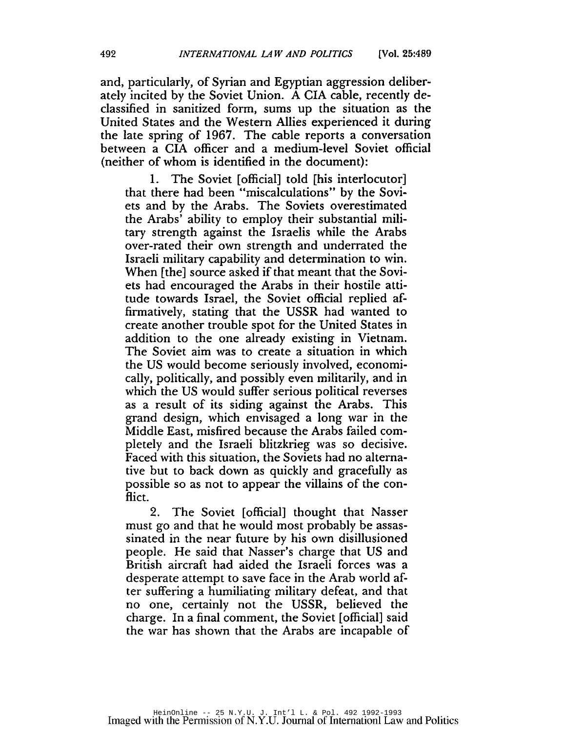and, particularly, of Syrian and Egyptian aggression deliberately incited by the Soviet Union. A CIA cable, recently declassified in sanitized form, sums up the situation as the United States and the Western Allies experienced it during the late spring of 1967. The cable reports a conversation between a CIA officer and a medium-level Soviet official (neither of whom is identified in the document):

1. The Soviet [official] told [his interlocutor] that there had been "miscalculations" by the Soviets and by the Arabs. The Soviets overestimated the Arabs' ability to employ their substantial military strength against the Israelis while the Arabs over-rated their own strength and underrated the Israeli military capability and determination to win. When [the] source asked if that meant that the Soviets had encouraged the Arabs in their hostile attitude towards Israel, the Soviet official replied affirmatively, stating that the USSR had wanted to create another trouble spot for the United States in addition to the one already existing in Vietnam. The Soviet aim was to create a situation in which the US would become seriously involved, economically, politically, and possibly even militarily, and in which the US would suffer serious political reverses as a result of its siding against the Arabs. This grand design, which envisaged a long war in the Middle East, misfired because the Arabs failed completely and the Israeli blitzkrieg was so decisive. Faced with this situation, the Soviets had no alternative but to back down as quickly and gracefully as possible so as not to appear the villains of the conflict.

2. The Soviet [official] thought that Nasser must go and that he would most probably be assassinated in the near future by his own disillusioned people. He said that Nasser's charge that US and British aircraft had aided the Israeli forces was a desperate attempt to save face in the Arab world after suffering a humiliating military defeat, and that no one, certainly not the USSR, believed the charge. In a final comment, the Soviet [official] said the war has shown that the Arabs are incapable of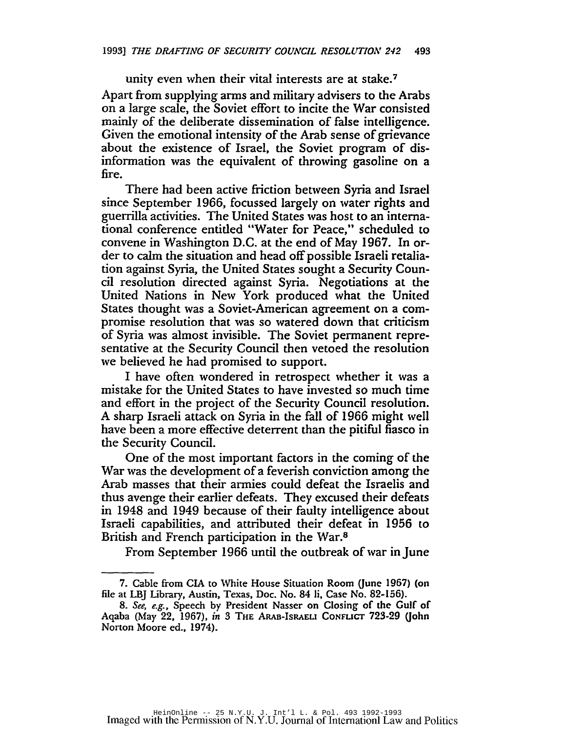unity even when their vital interests are at stake.<sup>7</sup>

Apart from supplying arms and military advisers to the Arabs on a large scale, the Soviet effort to incite the War consisted mainly of the deliberate dissemination of false intelligence. Given the emotional intensity of the Arab sense of grievance about the existence of Israel, the Soviet program of disinformation was the equivalent of throwing gasoline on a fire.

There had been active friction between Syria and Israel since September 1966, focussed largely on water rights and guerrilla activities. The United States was host to an international conference entitled "Water for Peace," scheduled to convene in Washington D.C. at the end of May 1967. In order to calm the situation and head off possible Israeli retaliation against Syria, the United States sought a Security Council resolution directed against Syria. Negotiations at the United Nations in New York produced what the United States thought was a Soviet-American agreement on a compromise resolution that was so watered down that criticism of Syria was almost invisible. The Soviet permanent representative at the Security Council then vetoed the resolution we believed he had promised to support.

I have often wondered in retrospect whether it was a mistake for the United States to have invested so much time and effort in the project of the Security Council resolution. A sharp Israeli attack on Syria in the fall of 1966 might well have been a more effective deterrent than the pitiful fiasco in the Security Council.

One of the most important factors in the coming of the War was the development of a feverish convictibn among the Arab masses that their armies could defeat the Israelis and thus avenge their earlier defeats. They excused their defeats in 1948 and 1949 because of their faulty intelligence about Israeli capabilities, and attributed their defeat in 1956 to British and French participation in the War.<sup>8</sup>

From September 1966 until the outbreak of war in June

<sup>7.</sup> Cable from CIA to White House Situation Room (June 1967) (on file at LB] Library, Austin, Texas, Doc. No. 84 Ii, Case No. 82-156).

*<sup>8.</sup> See, e.g.,* Speech by President Nasser on Closing of the Gulf of Aqaba (May 22, 1967), *in* 3 THE ARAB-IsRAELI CONFLICT 723-29 (John Norton Moore ed., 1974}.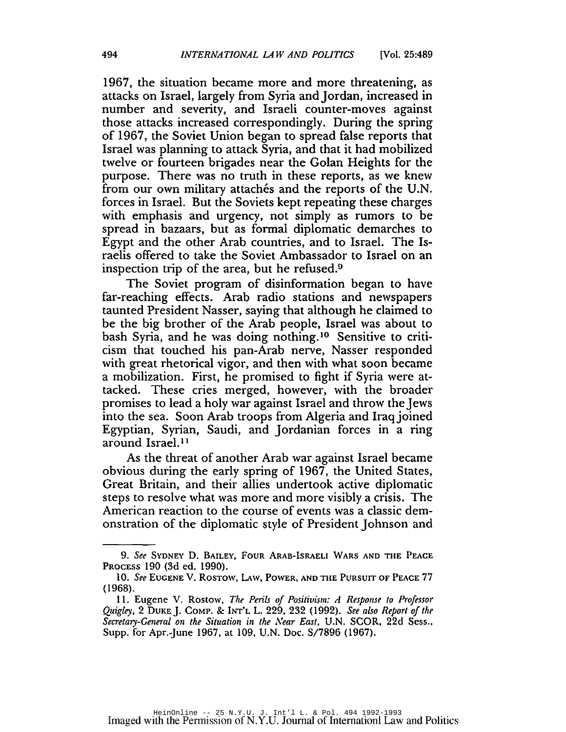1967, the situation became more and more threatening, as attacks on Israel, largely from Syria and Jordan, increased in number and severity, and Israeli counter-moves against those attacks increased correspondingly. During the spring of 1967, the Soviet Union began to spread false reports that Israel was planning to attack Syria, and that it had mobilized twelve or fourteen brigades near the Golan Heights for the purpose. There was no truth in these reports, as we knew from our own military attachés and the reports of the U.N. forces in Israel. But the Soviets kept repeating these charges with emphasis and urgency, not simply as rumors to be spread in bazaars, but as formal diplomatic demarches to Egypt and the other Arab countries, and to Israel. The Israelis offered to take the Soviet Ambassador to Israel on an inspection trip of the area, but he refused.9

The Soviet program of disinformation began to have far-reaching effects. Arab radio stations and newspapers taunted President Nasser, saying that although he claimed to be the big brother of the Arab people, Israel was about to bash Syria, and he was doing nothing.<sup>10</sup> Sensitive to criticism that touched his pan-Arab nerve, Nasser responded with great rhetorical vigor, and then with what soon became a mobilization. First, he promised to fight if Syria were attacked. These cries merged, however, with the broader promises to lead a holy war against Israel and throw the Jews into the sea. Soon Arab troops from Algeria and Iraqjoined Egyptian, Syrian, Saudi, and Jordanian forces in a ring around Israel.<sup>11</sup>

As the threat of another Arab war against Israel became obvious during the early spring of 1967, the United States, Great Britain, and their allies undertook active diplomatic steps to resolve what was more and more visibly a crisis. The American reaction to the course of events was a classic demonstration of the diplomatic style of President Johnson and

*<sup>9.</sup> See* SYDNEY D. BAILEY, FOUR ARAB-IsRAELI WARS AND THE PEACE PROCESS 190 (3d ed. 1990).

*<sup>10.</sup> See* EUGENE V. ROSTOW, LAw, POWER, AND THE PURSUIT OF PEACE 77 (1968).

<sup>11.</sup> Eugene V. Rostow, *The Perils of Positivism: A Response to Professor Quigley,* 2 DUKE J. COMPo & INT'L L. 229, 232 (1992). *See also Report of the Secretary-General on the Situation in the Near East,* U.N. SCOR, 22d Sess.• Supp. for Apr.-June 1967, at 109, U.N. Doc. S/7896 (1967).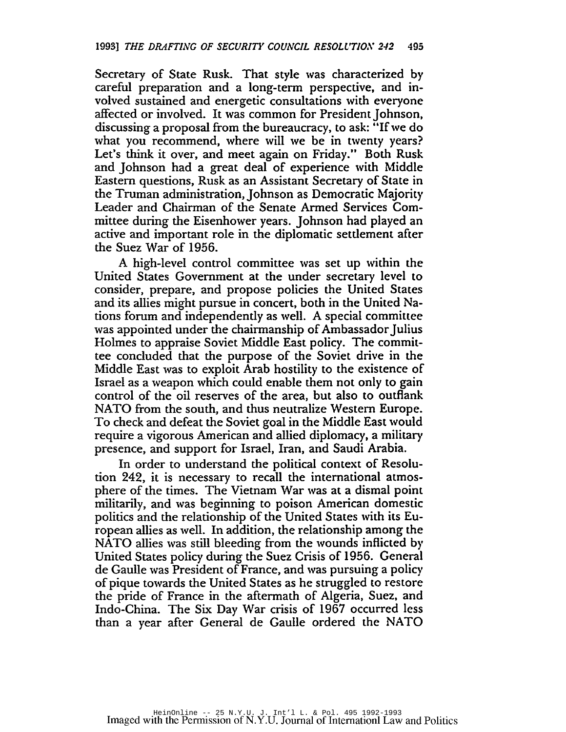Secretary of State Rusk. That style was characterized by careful preparation and a long-term perspective, and involved sustained and energetic consultations with everyone affected or involved. It was common for President Johnson, discussing a proposal from the bureaucracy, to ask: "If we do what you recommend, where will we be in twenty years? Let's think it over, and meet again on Friday." Both Rusk and Johnson had a great deal of experience with Middle Eastern questions, Rusk as an Assistant Secretary of State in the Truman administration, Johnson as Democratic Majority Leader and Chairman of the Senate Armed Services Committee during the Eisenhower years. Johnson had played an active and important role in the diplomatic settlement after the Suez War of 1956.

A high-level control committee was set up within the United States Government at the under secretary level to consider, prepare, and propose policies the United States and its allies might pursue in concert, both in the United Nations forum and independently as well. A special committee was appointed under the chairmanship of Ambassador Julius Holmes to appraise Soviet Middle East policy. The committee concluded that the purpose of the Soviet drive in the Middle East was to exploit Arab hostility to the existence of Israel as a weapon which could enable them not only to gain control of the oil reserves of the area, but also to outflank NATO from the south, and thus neutralize Western Europe. To check and defeat the Soviet goal in the Middle East would require a vigorous American and allied diplomacy, a military presence, and support for Israel, Iran, and Saudi Arabia.

In order to understand the political context of Resolution 242, it is necessary to recall the international atmosphere of the times. The Vietnam War was at a dismal point militarily, and was beginning to poison American domestic politics and the relationship of the United States with its European allies as well. In addition, the relationship among the NATO allies was still bleeding from the wounds inflicted by United States policy during the Suez Crisis of 1956. General de Gaulle was President of France, and was pursuing a policy of pique towards the United States as he struggled to restore the pride of France in the aftermath of Algeria, Suez, and Indo-China. The Six Day War crisis of 1967 occurred less than a year after General de Gaulle ordered the NATO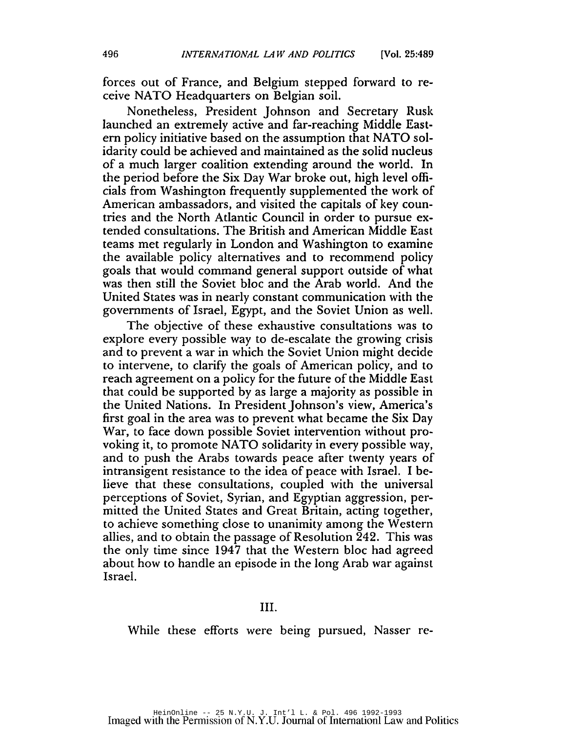forces out of France, and Belgium stepped fonvard to receive NATO Headquarters on Belgian soil.

Nonetheless, President Johnson and Secretary Rusk launched an extremely active and far-reaching Middle Eastern policy initiative based on the assumption that NATO solidarity could be achieved and maintained as the solid nucleus of a much larger coalition extending around the world. **In** the period before the Six Day War broke out, high level officials from Washington frequently supplemented the work of American ambassadors, and visited the capitals of key countries and the North Atlantic Council in order to pursue extended consultations. The British and American Middle East teams met regularly in London and Washington to examine the available policy alternatives and to recommend policy goals that would command general support outside of what was then still the Soviet bloc and the Arab world. And the United States was in nearly constant communication with the governments of Israel, Egypt, and the Soviet Union as well.

The objective of these exhaustive consultations was to explore every possible way to de-escalate the growing crisis and to prevent a war in which the Soviet Union might decide to intervene, to clarify the goals of American policy, and to reach agreement on a policy for the future of the Middle East that could be supported by as large a majority as possible in the United Nations. **In** PresidentJohnson's view, America's first goal in the area was to prevent what became the Six Day War, to face down possible Soviet intervention without provoking it, to promote NATO solidarity in every possible way, and to push the Arabs towards peace after twenty years of intransigent resistance to the idea of peace with Israel. I believe that these consultations, coupled with the universal perceptions of Soviet, Syrian, and Egyptian aggression, permitted the United States and Great Britain, acting together, to achieve something close to unanimity among the Western allies, and to obtain the passage of Resolution 242. This was the only time since 1947 that the Western bloc had agreed about how to handle an episode in the long Arab war against Israel.

While these efforts were being pursued, Nasser re-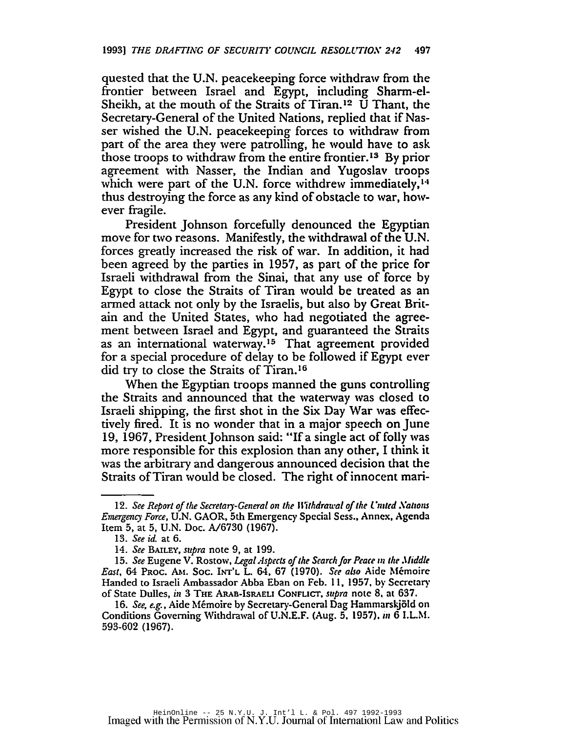quested that the U.N. peacekeeping force withdraw from the frontier between Israel and Egypt, including Sharm-el-Sheikh, at the mouth of the Straits of Tiran.<sup>12</sup> U Thant, the Secretary-General of the United Nations, replied that if Nasser wished the U.N. peacekeeping forces to withdraw from part of the area they were patrolling, he would have to ask those troops to withdraw from the entire frontier.<sup>13</sup> By prior agreement with Nasser, the Indian and Yugoslav troops which were part of the U.N. force withdrew immediately, $14$ thus destroying the force as any kind of obstacle to war, however fragile.

President Johnson forcefully denounced the Egyptian move for two reasons. Manifestly, the withdrawal of the U.N. forces greatly increased the risk of war. In addition, it had been agreed by the parties in 1957, as part of the price for Israeli withdrawal from the Sinai, that any use of force by Egypt to close the Straits of Tiran would be treated as an armed attack not only by the Israelis, but also by Great Britain and the United States, who had negotiated the agreement between Israel and Egypt, and guaranteed the Straits as an international waterway.15 That agreement provided for a special procedure of delay to be followed if Egypt ever did try to close the Straits of Tiran. <sup>16</sup>

When the Egyptian troops manned the guns controlling the Straits and announced that the watenvay was closed to Israeli shipping, the first shot in the Six Day War was effectively fired. It is no wonder that in a major speech on June 19, 1967, President Johnson said: "If a single act of folly was more responsible for this explosion than any other, I think it was the arbitrary and dangerous announced decision that the Straits of Tiran would be closed. The right of innocent mari-

<sup>12.</sup> See Report of the Secretary-General on the Withdrawal of the United Nations *Emergency Force,* U.N. GAOR, 5th Emergency Special Sess., Annex. Agenda Item 5, at 5, U.N. Doc. A/6730 (1967).

*<sup>13.</sup> See id.* at 6.

<sup>14.</sup> *See* BAILEY, *supra* note 9, at 199.

<sup>15.</sup> *See* Eugene V. Rostow. *Legal Aspects* of*the Search/or Peace <sup>111</sup> the Jfiddle East,* 64 PROC. AM. Soc. INT'L L. 64. 67 (1970). *Set also* Aide Memoire Handed to Israeli Ambassador Abba Eban on Feb. II. 1957. by Secrelary of State Dulles, in 3 THE ARAB-IsRAELI CONFLICT. *supra* nOle 8. al 637.

*<sup>16.</sup> See. e.g.,* Aide Memoire by Secretary-General Dag Hammarskjold on Conditions Governing Withdrawal of U.N.E.F. (Aug. 5, 1957). in 6 I.L.M. 593-602 (1967).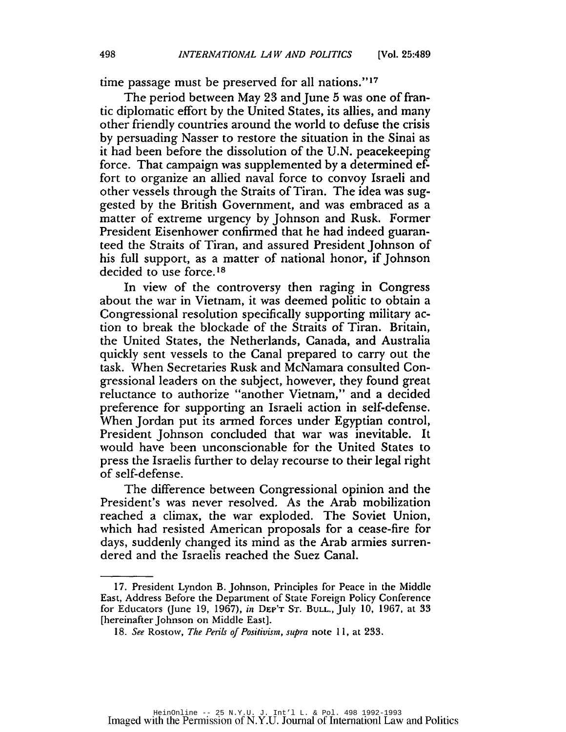time passage must be preserved for all nations." <sup>17</sup>

The period between May 23 and June 5 was one of frantic diplomatic effort by the United States, its allies, and many other friendly countries around the world to defuse the crisis by persuading Nasser to restore the situation in the Sinai as it had been before the dissolution of the U.N. peacekeeping force. That campaign was supplemented by a determined effort to organize an allied naval force to convoy Israeli and other vessels through the Straits of Tiran. The idea was suggested by the British Government, and was embraced as a matter of extreme urgency by Johnson and Rusk. Former President Eisenhower confirmed that he had indeed guaranteed the Straits of Tiran, and assured President Johnson of his full support, as a matter of national honor, if Johnson decided to use force.<sup>18</sup>

In view of the controversy then raging in Congress about the war in Vietnam, it was deemed politic to obtain a Congressional resolution specifically supporting military action to break the blockade of the Straits of Tiran. Britain, the United States, the Netherlands, Canada, and Australia quickly sent vessels to the Canal prepared to carry out the task. When Secretaries Rusk and McNamara consulted Congressional leaders on the subject, however, they found great reluctance to authorize "another Vietnam," and a decided preference for supporting an Israeli action in self-defense. When Jordan put its armed forces under Egyptian control, President Johnson concluded that war was inevitable. It would have been unconscionable for the United States to press the Israelis further to delay recourse to their legal right of self-defense.

The difference between Congressional opinion and the President's was never resolved. As the Arab mobilization reached a climax, the war exploded. The Soviet Union, which had resisted American proposals for a cease-fire for days, suddenly changed its mind as the Arab armies surrendered and the Israelis reached the Suez Canal.

<sup>17.</sup> President Lyndon B. johnson, Principles for Peace in the Middle East, Address Before the Department of State Foreign Policy Conference for Educators Uune 19, 1967), *in* DEP'T ST. BULL., july 10. 1967, at 33 [hereinafter johnson on Middle East].

*<sup>18.</sup> See* Rostow, *The Perils of Positivism, supra* note II, at 233.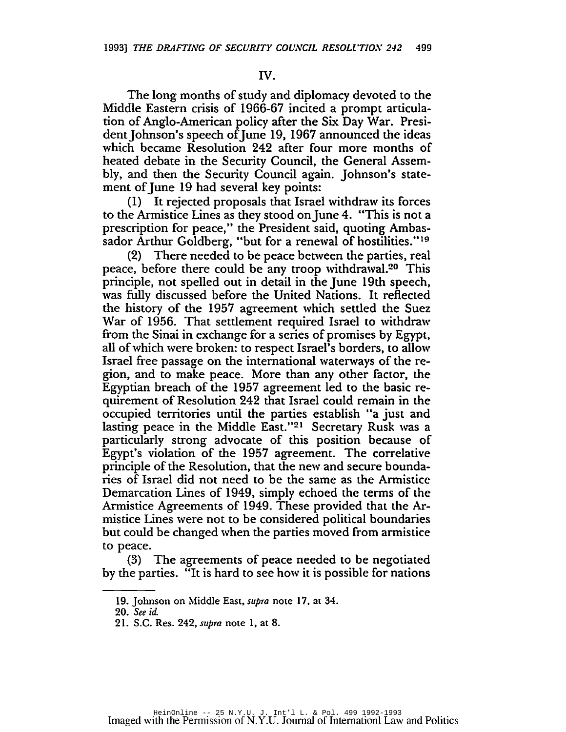## IV.

The long months of study and diplomacy devoted to the Middle Eastern crisis of 1966-67 incited a prompt articulation of Anglo-American policy after the Six Day War. President Johnson's speech of June 19, 1967 announced the ideas which became Resolution 242 after four more months of heated debate in the Security Council, the General Assembly, and then the Security Council again. johnson's statement of June 19 had several key points:

(1) It rejected proposals that Israel withdraw its forces to the Armistice Lines as they stood on June 4. "This is not a prescription for peace," the President said, quoting Ambassador Arthur Goldberg, "but for a renewal of hostilities."<sup>19</sup>

(2) There needed to be peace between the parties, real peace, before there could be any troop withdrawal.20 This principle, not spelled out in detail in the june 19th speech, was fully discussed before the United Nations. It reflected the history of the 1957 agreement which settled the Suez War of 1956. That settlement required Israel to withdraw from the Sinai in exchange for a series of promises by Egypt, all of which were broken: to respect Israel's borders, to allow Israel free passage on the international waterways of the region, and to make peace. More than any other factor, the Egyptian breach of the 1957 agreement led to the basic requirement of Resolution 242 that Israel could remain in the occupied territories until the parties establish "a just and lasting peace in the Middle East."21 Secretary Rusk was a particularly strong advocate of this position because of Egypt's violation of the 1957 agreement. The correlative principle of the Resolution, that the new and secure boundaries of Israel did not need to be the same as the Armistice Demarcation Lines of 1949, simply echoed the terms of the Armistice Agreements of 1949. These provided that the Armistice Lines were not to be considered political boundaries but could be changed when the parties moved from armistice to peace.

(3) The agreements of peace needed to be negotiated by the parties. "It is hard to see how it is possible for nations

<sup>19.</sup> Johnson on Middle East, *supra* note 17. at 34.

*<sup>20.</sup> See id.*

<sup>21.</sup> S.C. Res. 242. *supra* note 1. at 8.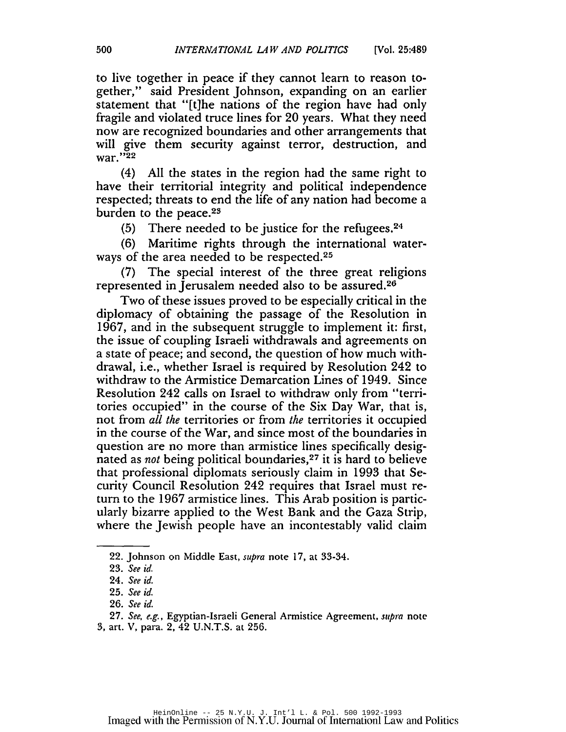to live together in peace if they cannot learn to reason together," said President johnson, expanding on an earlier statement that "[t]he nations of the region have had only fragile and violated truce lines for 20 years. What they need now are recognized boundaries and other arrangements that will give them security against terror, destruction, and war."<sup>22</sup>

(4) All the states in the region had the same right to have their territorial integrity and political independence respected; threats to end the life of any nation had become a burden to the peace.<sup>23</sup>

(5) There needed to be justice for the refugees. $24$ 

(6) Maritime rights through the international waterways of the area needed to be respected.<sup>25</sup>

(7) The special interest of the three great religions represented in jerusalem needed also to be assured.26

Two of these issues proved to be especially critical in the diplomacy of obtaining the passage of the Resolution in 1967, and in the subsequent struggle to implement it: first, the issue of coupling Israeli withdrawals and agreements on a state of peace; and second, the question of how much withdrawal, i.e., whether Israel is required by Resolution 242 to withdraw to the Armistice Demarcation Lines of 1949. Since Resolution 242 calls on Israel to withdraw only from "territories occupied" in the course of the Six Day War, that is, not from *all the* territories or from *the* territories it occupied in the course of the War, and since most of the boundaries in question are no more than armistice lines specifically designated as *not* being political boundaries,27 it is hard to believe that professional diplomats seriously claim in 1993 that Security Council Resolution 242 requires that Israel must return to the 1967 armistice lines. This Arab position is particularly bizarre applied to the West Bank and the Gaza Strip, where the jewish people have an incontestably valid claim

<sup>22.</sup> Johnson on Middle East, *supra* note 17, at 33-34.

*<sup>23.</sup> See id.*

*<sup>24.</sup> See id.*

*<sup>25.</sup> See id.*

*<sup>26.</sup> See id.*

*<sup>27.</sup> See, e.g.,* Egyptian-Israeli General Armistice Agreement, *supra* note

<sup>3,</sup> art. V, para. 2, 42 V.N.T.S. at 256.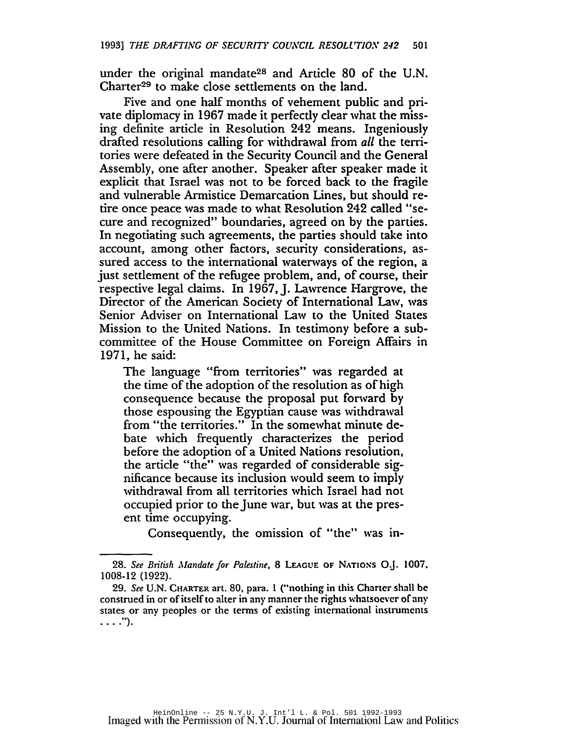under the original mandate<sup>28</sup> and Article 80 of the U.N. Charter<sup>29</sup> to make close settlements on the land.

Five and one half months of vehement public and private diplomacy in 1967 made it perfectly clear what the missing definite article in Resolution 242 means. Ingeniously drafted resolutions calling for withdrawal from *all* the territories were defeated in the Security Council and the General Assembly, one after another. Speaker after speaker made it explicit that Israel was not to be forced back to the fragile and vulnerable Armistice Demarcation Lines, but should retire once peace was made to what Resolution 242 called "secure and recognized" boundaries, agreed on by the parties. In negotiating such agreements, the parties should take into account, among other factors, security considerations, assured access to the international waterways of the region, a just settlement of the refugee problem, and, of course, their respective legal claims. In 1967, J. Lawrence Hargrove, the Director of the American Society of International Law, was Senior Adviser on International Law to the United States Mission to the United Nations. In testimony before a subcommittee of the House Committee on Foreign Affairs in 1971, he said:

The language "from territories" was regarded at the time of the adoption of the resolution as of high consequence because the proposal put fonvard by those espousing the Egyptian cause was withdrawal from "the territories." In the somewhat minute debate which frequently characterizes the period before the adoption of a United Nations resolution, the article "the" was regarded of considerable significance because its inclusion would seem to imply withdrawal from all territories which Israel had not occupied prior to the June war, but was at the present time occupying.

Consequently, the omission of "the" was in-

*<sup>28.</sup> See British Mandate for Palestine,* 8 LEAGUE OF NATIONS OJ. 1007, 1008-12 (1922).

*<sup>29.</sup> See* U.N. CHARTER art. 80, para. 1 ("nothing in this Chartcr shall bc construed in or of itself to alter in any manner the rights whatsoever of any states or any peoples or the terms of existing intcrnational instrumcnts ....").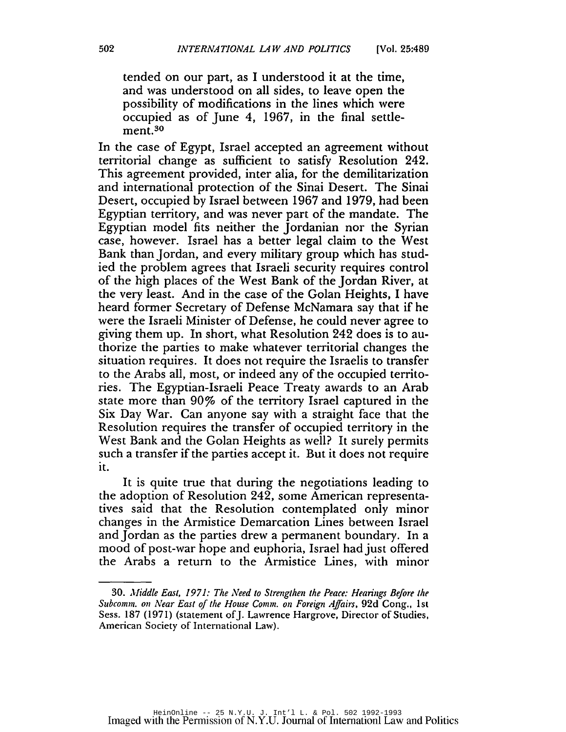tended on our part, as I understood it at the time, and was understood on all sides, to leave open the possibility of modifications in the lines which were occupied as of June 4, 1967, in the final settlement.30

In the case of Egypt, Israel accepted an agreement without territorial change as sufficient to satisfy Resolution 242. This agreement provided, inter alia, for the demilitarization and international protection of the Sinai Desert. The Sinai Desert, occupied by Israel between 1967 and 1979, had been Egyptian territory, and was never part of the mandate. The Egyptian model fits neither the Jordanian nor the Syrian case, however. Israel has a better legal claim to the West Bank than Jordan, and every military group which has studied the problem agrees that Israeli security requires control of the high places of the West Bank of the Jordan River, at the very least. And in the case of the Golan Heights, I have heard former Secretary of Defense McNamara say that if he were the Israeli Minister of Defense, he could never agree to giving them up. In short, what Resolution 242 does is to authorize the parties to make whatever territorial changes the situation requires. It does not require the Israelis to transfer to the Arabs all, most, or indeed any of the occupied territories. The Egyptian-Israeli Peace Treaty awards to an Arab state more than 90% of the territory Israel captured in the Six Day War. Can anyone say with a straight face that the Resolution requires the transfer of occupied territory in the West Bank and the Golan Heights as well? It surely permits such a transfer if the parties accept it. But it does not require it.

It is quite true that during the negotiations leading to the adoption of Resolution 242, some American representatives said that the Resolution contemplated only minor changes in the Armistice Demarcation Lines between Israel and Jordan as the parties drew a permanent boundary. In a mood of post-war hope and euphoria, Israel had just offered the Arabs a return to the Armistice Lines, with minor

*<sup>30.</sup> Middle East,* 1971: *The Need to Strengthen the Peace: Hearings Before the Subcomm. on Near East* of *the House Comm. on Foreign Affairs,* 92d Cong., 1st Sess. 187 (1971) (statement of J. Lawrence Hargrove, Director of Studies, American Society of International Law).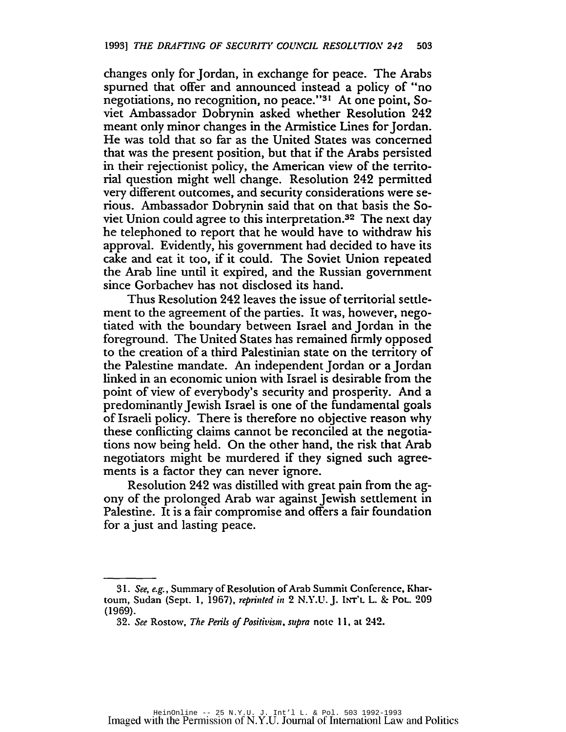changes only for jordan, in exchange for peace. The Arabs spumed that offer and announced instead a policy of "no negotiations, no recognition, no peace."31 At one point, Soviet Ambassador Dobrynin asked whether Resolution 242 meant only minor changes in the Armistice Lines for Jordan. He was told that so far as the United States was concerned that was the present position, but that if the Arabs persisted in their rejectionist policy, the American view of the territorial question might well change. Resolution 242 permitted very different outcomes, and security considerations were serious. Ambassador Dobrynin said that on that basis the Soviet Union could agree to this interpretation.32 The next day he telephoned to report that he would have to withdraw his approval. Evidently, his government had decided to have its cake and eat it too, if it could. The Soviet Union repeated the Arab line until it expired, and the Russian government since Gorbachev has not disclosed its hand.

Thus Resolution 242 leaves the issue of territorial settlement to the agreement of the parties. It was, however, negotiated with the boundary between Israel and jordan in the foreground. The United States has remained firmly opposed to the creation of a third Palestinian state on the territory of the Palestine mandate. An independent Jordan or a Jordan linked in an economic union with Israel is desirable from the point of view of everybody's security and prosperity. And a predominantly jewish Israel is one of the fundamental goals ofIsraeli policy. There is therefore no objective reason why these conflicting claims cannot be reconciled at the negotiations now being held. On the other hand, the risk that Arab negotiators might be murdered if they signed such agreements is a factor they can never ignore.

Resolution 242 was distilled with great pain from the agony of the prolonged Arab war against jewish settlement in Palestine. It is a fair compromise and offers a fair foundation for a just and lasting peace.

<sup>31.</sup> See, e.g., Summary of Resolution of Arab Summit Conference, Khartoum, Sudan (Sept. 1, 1967), *reprinted* in 2 N.Y.U. J. INT'L L. & Pot. 209 (1969).

*<sup>32.</sup> See* Rostow, *The Perils ojPos;tit'ism, supra* note II. at 242.